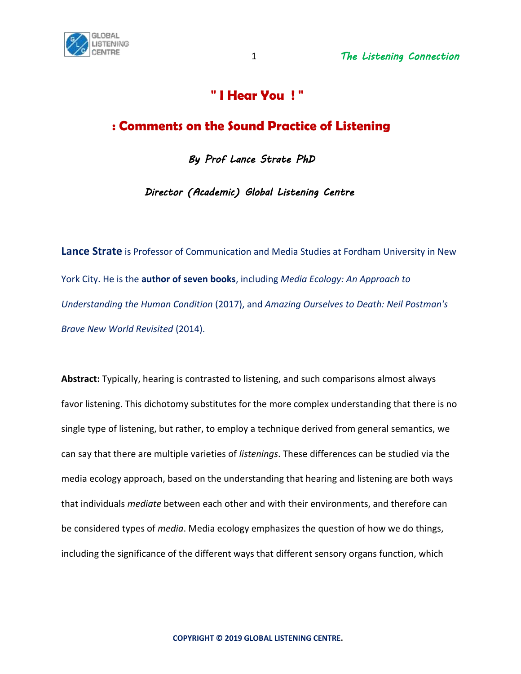

# **" I Hear You ! "**

# **: Comments on the Sound Practice of Listening**

*By Prof Lance Strate PhD* 

 *Director (Academic) Global Listening Centre* 

**Lance Strate** is Professor of Communication and Media Studies at Fordham University in New York City. He is the **author of seven books**, including *Media Ecology: An Approach to Understanding the Human Condition* (2017), and *Amazing Ourselves to Death: Neil Postman's Brave New World Revisited* (2014).

**Abstract:** Typically, hearing is contrasted to listening, and such comparisons almost always favor listening. This dichotomy substitutes for the more complex understanding that there is no single type of listening, but rather, to employ a technique derived from general semantics, we can say that there are multiple varieties of *listenings*. These differences can be studied via the media ecology approach, based on the understanding that hearing and listening are both ways that individuals *mediate* between each other and with their environments, and therefore can be considered types of *media*. Media ecology emphasizes the question of how we do things, including the significance of the different ways that different sensory organs function, which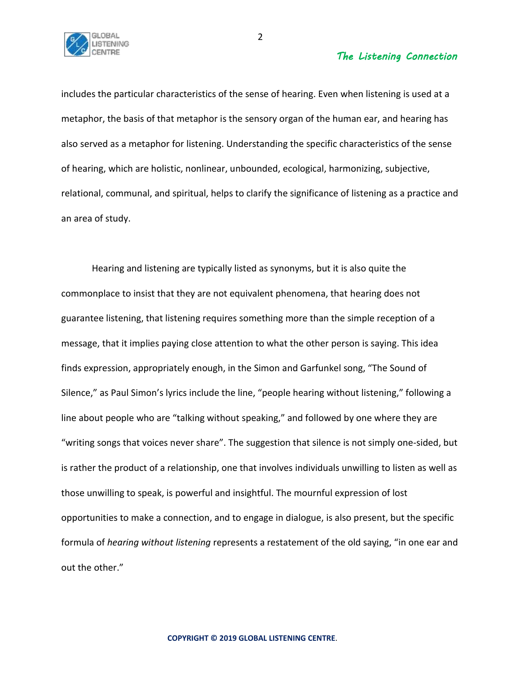

includes the particular characteristics of the sense of hearing. Even when listening is used at a metaphor, the basis of that metaphor is the sensory organ of the human ear, and hearing has also served as a metaphor for listening. Understanding the specific characteristics of the sense of hearing, which are holistic, nonlinear, unbounded, ecological, harmonizing, subjective, relational, communal, and spiritual, helps to clarify the significance of listening as a practice and an area of study.

Hearing and listening are typically listed as synonyms, but it is also quite the commonplace to insist that they are not equivalent phenomena, that hearing does not guarantee listening, that listening requires something more than the simple reception of a message, that it implies paying close attention to what the other person is saying. This idea finds expression, appropriately enough, in the Simon and Garfunkel song, "The Sound of Silence," as Paul Simon's lyrics include the line, "people hearing without listening," following a line about people who are "talking without speaking," and followed by one where they are "writing songs that voices never share". The suggestion that silence is not simply one-sided, but is rather the product of a relationship, one that involves individuals unwilling to listen as well as those unwilling to speak, is powerful and insightful. The mournful expression of lost opportunities to make a connection, and to engage in dialogue, is also present, but the specific formula of *hearing without listening* represents a restatement of the old saying, "in one ear and out the other."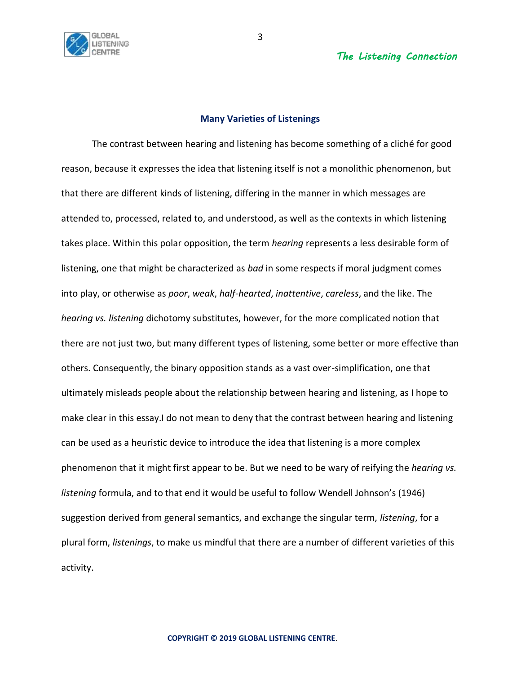

## **Many Varieties of Listenings**

The contrast between hearing and listening has become something of a cliché for good reason, because it expresses the idea that listening itself is not a monolithic phenomenon, but that there are different kinds of listening, differing in the manner in which messages are attended to, processed, related to, and understood, as well as the contexts in which listening takes place. Within this polar opposition, the term *hearing* represents a less desirable form of listening, one that might be characterized as *bad* in some respects if moral judgment comes into play, or otherwise as *poor*, *weak*, *half-hearted*, *inattentive*, *careless*, and the like. The *hearing vs. listening* dichotomy substitutes, however, for the more complicated notion that there are not just two, but many different types of listening, some better or more effective than others. Consequently, the binary opposition stands as a vast over-simplification, one that ultimately misleads people about the relationship between hearing and listening, as I hope to make clear in this essay.I do not mean to deny that the contrast between hearing and listening can be used as a heuristic device to introduce the idea that listening is a more complex phenomenon that it might first appear to be. But we need to be wary of reifying the *hearing vs. listening* formula, and to that end it would be useful to follow Wendell Johnson's (1946) suggestion derived from general semantics, and exchange the singular term, *listening*, for a plural form, *listenings*, to make us mindful that there are a number of different varieties of this activity.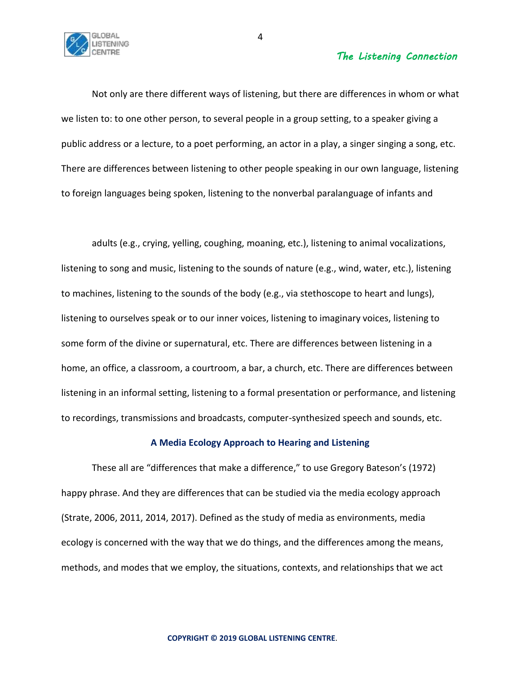

Not only are there different ways of listening, but there are differences in whom or what we listen to: to one other person, to several people in a group setting, to a speaker giving a public address or a lecture, to a poet performing, an actor in a play, a singer singing a song, etc. There are differences between listening to other people speaking in our own language, listening to foreign languages being spoken, listening to the nonverbal paralanguage of infants and

adults (e.g., crying, yelling, coughing, moaning, etc.), listening to animal vocalizations, listening to song and music, listening to the sounds of nature (e.g., wind, water, etc.), listening to machines, listening to the sounds of the body (e.g., via stethoscope to heart and lungs), listening to ourselves speak or to our inner voices, listening to imaginary voices, listening to some form of the divine or supernatural, etc. There are differences between listening in a home, an office, a classroom, a courtroom, a bar, a church, etc. There are differences between listening in an informal setting, listening to a formal presentation or performance, and listening to recordings, transmissions and broadcasts, computer-synthesized speech and sounds, etc.

### **A Media Ecology Approach to Hearing and Listening**

These all are "differences that make a difference," to use Gregory Bateson's (1972) happy phrase. And they are differences that can be studied via the media ecology approach (Strate, 2006, 2011, 2014, 2017). Defined as the study of media as environments, media ecology is concerned with the way that we do things, and the differences among the means, methods, and modes that we employ, the situations, contexts, and relationships that we act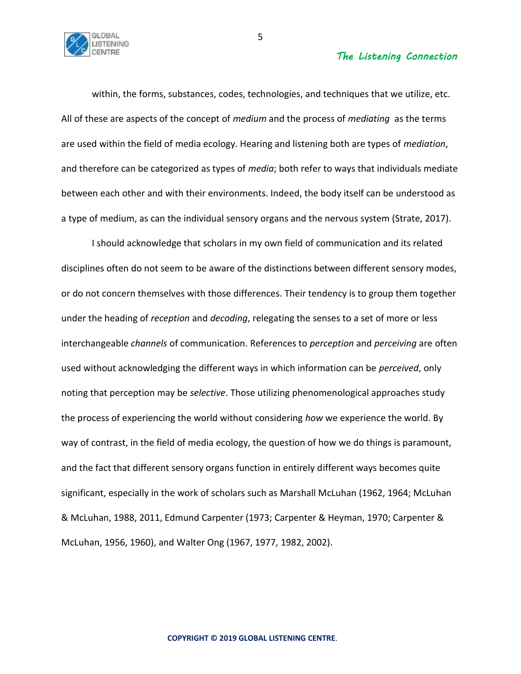

within, the forms, substances, codes, technologies, and techniques that we utilize, etc. All of these are aspects of the concept of *medium* and the process of *mediating* as the terms are used within the field of media ecology. Hearing and listening both are types of *mediation*, and therefore can be categorized as types of *media*; both refer to ways that individuals mediate between each other and with their environments. Indeed, the body itself can be understood as a type of medium, as can the individual sensory organs and the nervous system (Strate, 2017).

I should acknowledge that scholars in my own field of communication and its related disciplines often do not seem to be aware of the distinctions between different sensory modes, or do not concern themselves with those differences. Their tendency is to group them together under the heading of *reception* and *decoding*, relegating the senses to a set of more or less interchangeable *channels* of communication. References to *perception* and *perceiving* are often used without acknowledging the different ways in which information can be *perceived*, only noting that perception may be *selective*. Those utilizing phenomenological approaches study the process of experiencing the world without considering *how* we experience the world. By way of contrast, in the field of media ecology, the question of how we do things is paramount, and the fact that different sensory organs function in entirely different ways becomes quite significant, especially in the work of scholars such as Marshall McLuhan (1962, 1964; McLuhan & McLuhan, 1988, 2011, Edmund Carpenter (1973; Carpenter & Heyman, 1970; Carpenter & McLuhan, 1956, 1960), and Walter Ong (1967, 1977, 1982, 2002).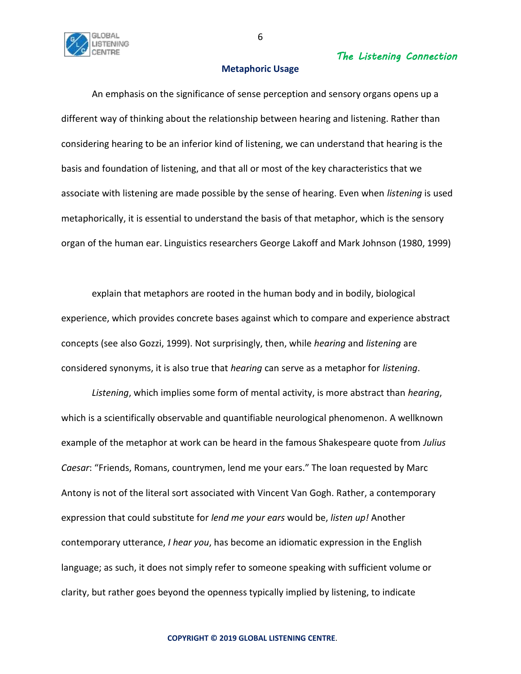

## **Metaphoric Usage**

An emphasis on the significance of sense perception and sensory organs opens up a different way of thinking about the relationship between hearing and listening. Rather than considering hearing to be an inferior kind of listening, we can understand that hearing is the basis and foundation of listening, and that all or most of the key characteristics that we associate with listening are made possible by the sense of hearing. Even when *listening* is used metaphorically, it is essential to understand the basis of that metaphor, which is the sensory organ of the human ear. Linguistics researchers George Lakoff and Mark Johnson (1980, 1999)

explain that metaphors are rooted in the human body and in bodily, biological experience, which provides concrete bases against which to compare and experience abstract concepts (see also Gozzi, 1999). Not surprisingly, then, while *hearing* and *listening* are considered synonyms, it is also true that *hearing* can serve as a metaphor for *listening*.

*Listening*, which implies some form of mental activity, is more abstract than *hearing*, which is a scientifically observable and quantifiable neurological phenomenon. A wellknown example of the metaphor at work can be heard in the famous Shakespeare quote from *Julius Caesar*: "Friends, Romans, countrymen, lend me your ears." The loan requested by Marc Antony is not of the literal sort associated with Vincent Van Gogh. Rather, a contemporary expression that could substitute for *lend me your ears* would be, *listen up!* Another contemporary utterance, *I hear you*, has become an idiomatic expression in the English language; as such, it does not simply refer to someone speaking with sufficient volume or clarity, but rather goes beyond the openness typically implied by listening, to indicate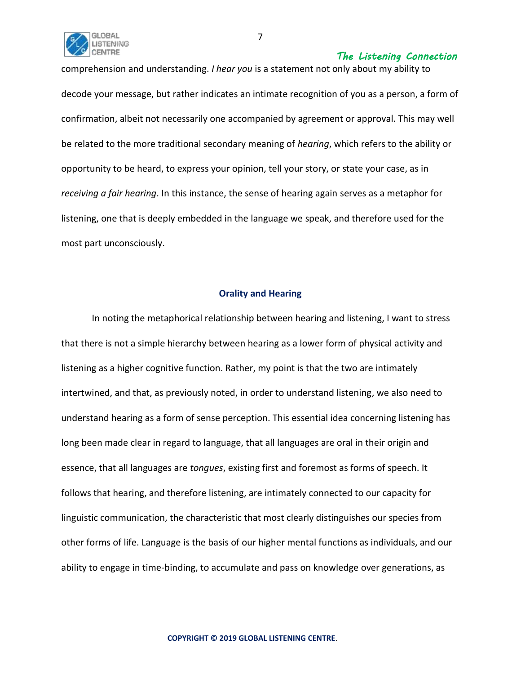

comprehension and understanding. *I hear you* is a statement not only about my ability to decode your message, but rather indicates an intimate recognition of you as a person, a form of confirmation, albeit not necessarily one accompanied by agreement or approval. This may well be related to the more traditional secondary meaning of *hearing*, which refers to the ability or opportunity to be heard, to express your opinion, tell your story, or state your case, as in *receiving a fair hearing*. In this instance, the sense of hearing again serves as a metaphor for listening, one that is deeply embedded in the language we speak, and therefore used for the most part unconsciously.

# **Orality and Hearing**

In noting the metaphorical relationship between hearing and listening, I want to stress that there is not a simple hierarchy between hearing as a lower form of physical activity and listening as a higher cognitive function. Rather, my point is that the two are intimately intertwined, and that, as previously noted, in order to understand listening, we also need to understand hearing as a form of sense perception. This essential idea concerning listening has long been made clear in regard to language, that all languages are oral in their origin and essence, that all languages are *tongues*, existing first and foremost as forms of speech. It follows that hearing, and therefore listening, are intimately connected to our capacity for linguistic communication, the characteristic that most clearly distinguishes our species from other forms of life. Language is the basis of our higher mental functions as individuals, and our ability to engage in time-binding, to accumulate and pass on knowledge over generations, as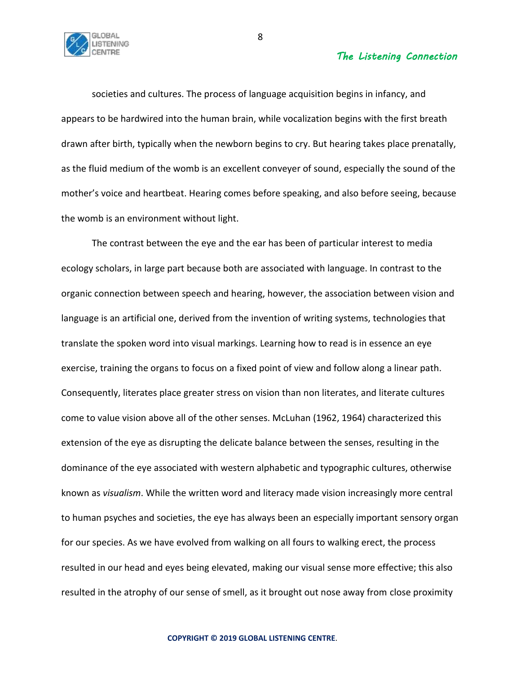

societies and cultures. The process of language acquisition begins in infancy, and appears to be hardwired into the human brain, while vocalization begins with the first breath drawn after birth, typically when the newborn begins to cry. But hearing takes place prenatally, as the fluid medium of the womb is an excellent conveyer of sound, especially the sound of the mother's voice and heartbeat. Hearing comes before speaking, and also before seeing, because the womb is an environment without light.

The contrast between the eye and the ear has been of particular interest to media ecology scholars, in large part because both are associated with language. In contrast to the organic connection between speech and hearing, however, the association between vision and language is an artificial one, derived from the invention of writing systems, technologies that translate the spoken word into visual markings. Learning how to read is in essence an eye exercise, training the organs to focus on a fixed point of view and follow along a linear path. Consequently, literates place greater stress on vision than non literates, and literate cultures come to value vision above all of the other senses. McLuhan (1962, 1964) characterized this extension of the eye as disrupting the delicate balance between the senses, resulting in the dominance of the eye associated with western alphabetic and typographic cultures, otherwise known as *visualism*. While the written word and literacy made vision increasingly more central to human psyches and societies, the eye has always been an especially important sensory organ for our species. As we have evolved from walking on all fours to walking erect, the process resulted in our head and eyes being elevated, making our visual sense more effective; this also resulted in the atrophy of our sense of smell, as it brought out nose away from close proximity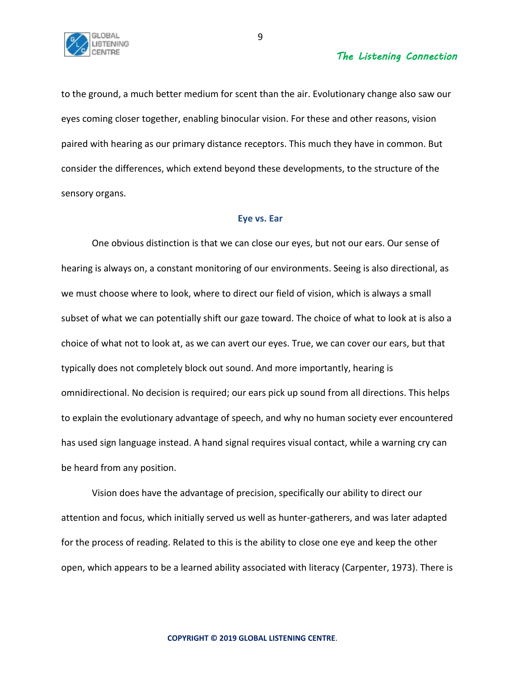

to the ground, a much better medium for scent than the air. Evolutionary change also saw our eyes coming closer together, enabling binocular vision. For these and other reasons, vision paired with hearing as our primary distance receptors. This much they have in common. But consider the differences, which extend beyond these developments, to the structure of the sensory organs.

#### **Eye vs. Ear**

One obvious distinction is that we can close our eyes, but not our ears. Our sense of hearing is always on, a constant monitoring of our environments. Seeing is also directional, as we must choose where to look, where to direct our field of vision, which is always a small subset of what we can potentially shift our gaze toward. The choice of what to look at is also a choice of what not to look at, as we can avert our eyes. True, we can cover our ears, but that typically does not completely block out sound. And more importantly, hearing is omnidirectional. No decision is required; our ears pick up sound from all directions. This helps to explain the evolutionary advantage of speech, and why no human society ever encountered has used sign language instead. A hand signal requires visual contact, while a warning cry can be heard from any position.

Vision does have the advantage of precision, specifically our ability to direct our attention and focus, which initially served us well as hunter-gatherers, and was later adapted for the process of reading. Related to this is the ability to close one eye and keep the other open, which appears to be a learned ability associated with literacy (Carpenter, 1973). There is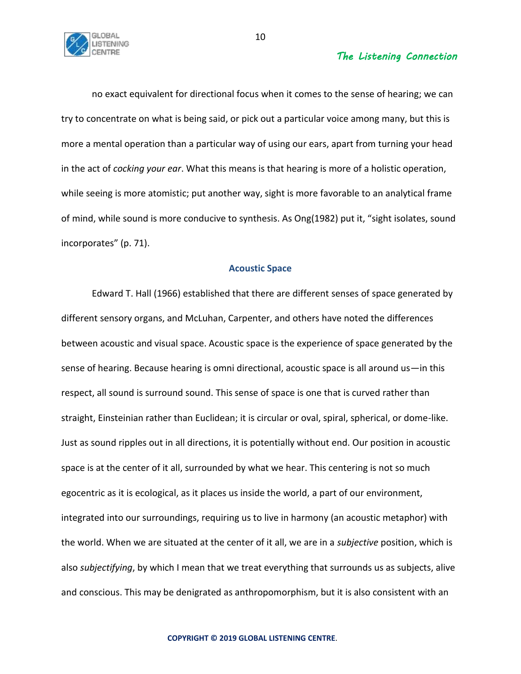

no exact equivalent for directional focus when it comes to the sense of hearing; we can try to concentrate on what is being said, or pick out a particular voice among many, but this is more a mental operation than a particular way of using our ears, apart from turning your head in the act of *cocking your ear*. What this means is that hearing is more of a holistic operation, while seeing is more atomistic; put another way, sight is more favorable to an analytical frame of mind, while sound is more conducive to synthesis. As Ong(1982) put it, "sight isolates, sound incorporates" (p. 71).

#### **Acoustic Space**

Edward T. Hall (1966) established that there are different senses of space generated by different sensory organs, and McLuhan, Carpenter, and others have noted the differences between acoustic and visual space. Acoustic space is the experience of space generated by the sense of hearing. Because hearing is omni directional, acoustic space is all around us—in this respect, all sound is surround sound. This sense of space is one that is curved rather than straight, Einsteinian rather than Euclidean; it is circular or oval, spiral, spherical, or dome-like. Just as sound ripples out in all directions, it is potentially without end. Our position in acoustic space is at the center of it all, surrounded by what we hear. This centering is not so much egocentric as it is ecological, as it places us inside the world, a part of our environment, integrated into our surroundings, requiring us to live in harmony (an acoustic metaphor) with the world. When we are situated at the center of it all, we are in a *subjective* position, which is also *subjectifying*, by which I mean that we treat everything that surrounds us as subjects, alive and conscious. This may be denigrated as anthropomorphism, but it is also consistent with an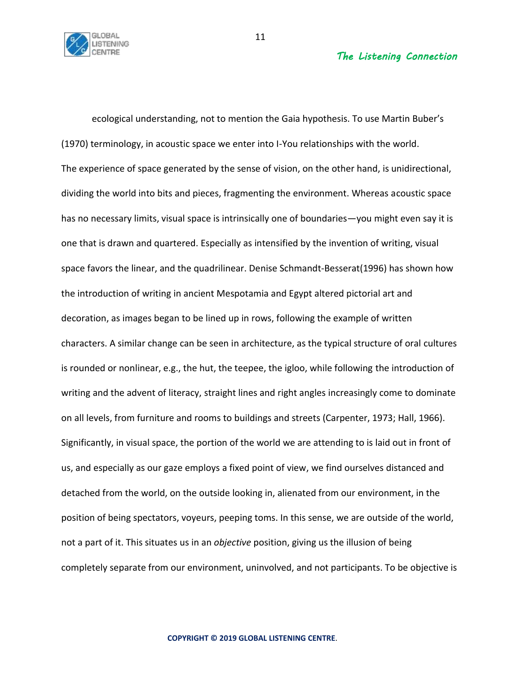

ecological understanding, not to mention the Gaia hypothesis. To use Martin Buber's (1970) terminology, in acoustic space we enter into I-You relationships with the world. The experience of space generated by the sense of vision, on the other hand, is unidirectional, dividing the world into bits and pieces, fragmenting the environment. Whereas acoustic space has no necessary limits, visual space is intrinsically one of boundaries—you might even say it is one that is drawn and quartered. Especially as intensified by the invention of writing, visual space favors the linear, and the quadrilinear. Denise Schmandt-Besserat(1996) has shown how the introduction of writing in ancient Mespotamia and Egypt altered pictorial art and decoration, as images began to be lined up in rows, following the example of written characters. A similar change can be seen in architecture, as the typical structure of oral cultures is rounded or nonlinear, e.g., the hut, the teepee, the igloo, while following the introduction of writing and the advent of literacy, straight lines and right angles increasingly come to dominate on all levels, from furniture and rooms to buildings and streets (Carpenter, 1973; Hall, 1966). Significantly, in visual space, the portion of the world we are attending to is laid out in front of us, and especially as our gaze employs a fixed point of view, we find ourselves distanced and detached from the world, on the outside looking in, alienated from our environment, in the position of being spectators, voyeurs, peeping toms. In this sense, we are outside of the world, not a part of it. This situates us in an *objective* position, giving us the illusion of being completely separate from our environment, uninvolved, and not participants. To be objective is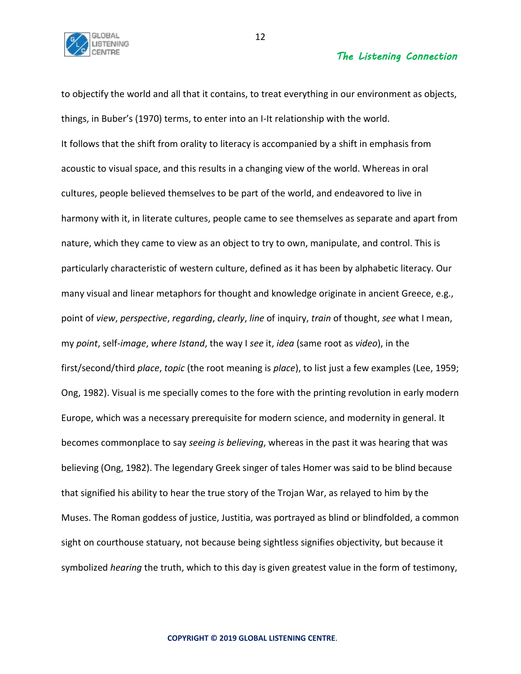

to objectify the world and all that it contains, to treat everything in our environment as objects, things, in Buber's (1970) terms, to enter into an I-It relationship with the world. It follows that the shift from orality to literacy is accompanied by a shift in emphasis from acoustic to visual space, and this results in a changing view of the world. Whereas in oral cultures, people believed themselves to be part of the world, and endeavored to live in harmony with it, in literate cultures, people came to see themselves as separate and apart from nature, which they came to view as an object to try to own, manipulate, and control. This is particularly characteristic of western culture, defined as it has been by alphabetic literacy. Our many visual and linear metaphors for thought and knowledge originate in ancient Greece, e.g., point of *view*, *perspective*, *regarding*, *clearly*, *line* of inquiry, *train* of thought, *see* what I mean, my *point*, self-*image*, *where Istand*, the way I *see* it, *idea* (same root as *video*), in the first/second/third *place*, *topic* (the root meaning is *place*), to list just a few examples (Lee, 1959; Ong, 1982). Visual is me specially comes to the fore with the printing revolution in early modern Europe, which was a necessary prerequisite for modern science, and modernity in general. It becomes commonplace to say *seeing is believing*, whereas in the past it was hearing that was believing (Ong, 1982). The legendary Greek singer of tales Homer was said to be blind because that signified his ability to hear the true story of the Trojan War, as relayed to him by the Muses. The Roman goddess of justice, Justitia, was portrayed as blind or blindfolded, a common sight on courthouse statuary, not because being sightless signifies objectivity, but because it symbolized *hearing* the truth, which to this day is given greatest value in the form of testimony,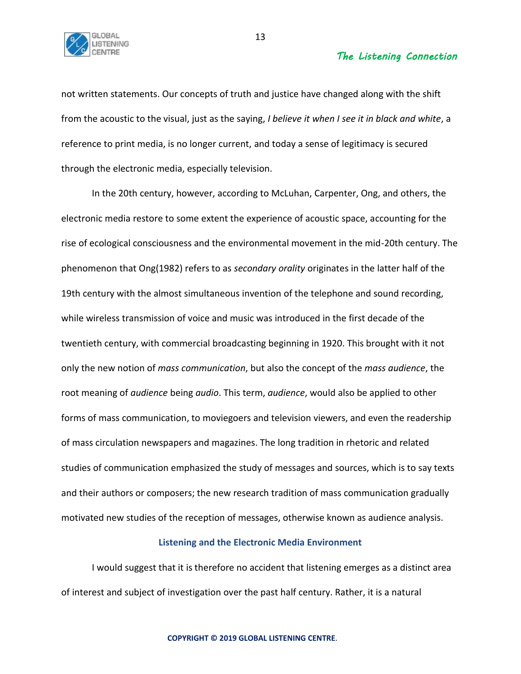

not written statements. Our concepts of truth and justice have changed along with the shift from the acoustic to the visual, just as the saying, *I believe it when I see it in black and white*, a reference to print media, is no longer current, and today a sense of legitimacy is secured through the electronic media, especially television.

In the 20th century, however, according to McLuhan, Carpenter, Ong, and others, the electronic media restore to some extent the experience of acoustic space, accounting for the rise of ecological consciousness and the environmental movement in the mid-20th century. The phenomenon that Ong(1982) refers to as *secondary orality* originates in the latter half of the 19th century with the almost simultaneous invention of the telephone and sound recording, while wireless transmission of voice and music was introduced in the first decade of the twentieth century, with commercial broadcasting beginning in 1920. This brought with it not only the new notion of *mass communication*, but also the concept of the *mass audience*, the root meaning of *audience* being *audio*. This term, *audience*, would also be applied to other forms of mass communication, to moviegoers and television viewers, and even the readership of mass circulation newspapers and magazines. The long tradition in rhetoric and related studies of communication emphasized the study of messages and sources, which is to say texts and their authors or composers; the new research tradition of mass communication gradually motivated new studies of the reception of messages, otherwise known as audience analysis.

## **Listening and the Electronic Media Environment**

I would suggest that it is therefore no accident that listening emerges as a distinct area of interest and subject of investigation over the past half century. Rather, it is a natural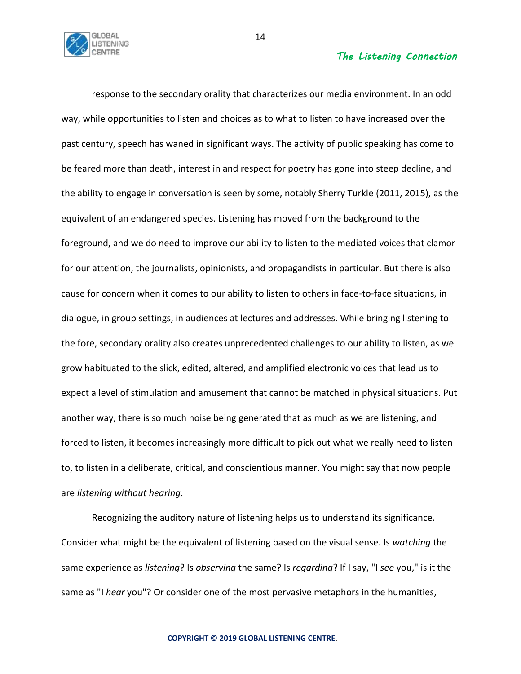

response to the secondary orality that characterizes our media environment. In an odd way, while opportunities to listen and choices as to what to listen to have increased over the past century, speech has waned in significant ways. The activity of public speaking has come to be feared more than death, interest in and respect for poetry has gone into steep decline, and the ability to engage in conversation is seen by some, notably Sherry Turkle (2011, 2015), as the equivalent of an endangered species. Listening has moved from the background to the foreground, and we do need to improve our ability to listen to the mediated voices that clamor for our attention, the journalists, opinionists, and propagandists in particular. But there is also cause for concern when it comes to our ability to listen to others in face-to-face situations, in dialogue, in group settings, in audiences at lectures and addresses. While bringing listening to the fore, secondary orality also creates unprecedented challenges to our ability to listen, as we grow habituated to the slick, edited, altered, and amplified electronic voices that lead us to expect a level of stimulation and amusement that cannot be matched in physical situations. Put another way, there is so much noise being generated that as much as we are listening, and forced to listen, it becomes increasingly more difficult to pick out what we really need to listen to, to listen in a deliberate, critical, and conscientious manner. You might say that now people are *listening without hearing*.

Recognizing the auditory nature of listening helps us to understand its significance. Consider what might be the equivalent of listening based on the visual sense. Is *watching* the same experience as *listening*? Is *observing* the same? Is *regarding*? If I say, "I *see* you," is it the same as "I *hear* you"? Or consider one of the most pervasive metaphors in the humanities,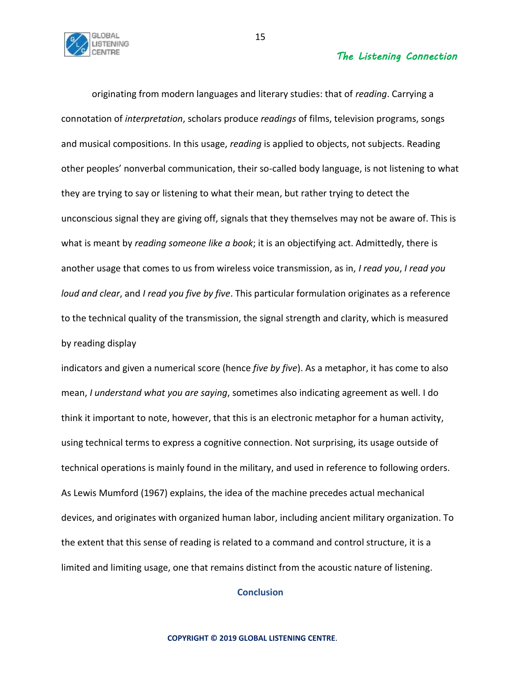

originating from modern languages and literary studies: that of *reading*. Carrying a connotation of *interpretation*, scholars produce *readings* of films, television programs, songs and musical compositions. In this usage, *reading* is applied to objects, not subjects. Reading other peoples' nonverbal communication, their so-called body language, is not listening to what they are trying to say or listening to what their mean, but rather trying to detect the unconscious signal they are giving off, signals that they themselves may not be aware of. This is what is meant by *reading someone like a book*; it is an objectifying act. Admittedly, there is another usage that comes to us from wireless voice transmission, as in, *I read you*, *I read you loud and clear*, and *I read you five by five*. This particular formulation originates as a reference to the technical quality of the transmission, the signal strength and clarity, which is measured by reading display

indicators and given a numerical score (hence *five by five*). As a metaphor, it has come to also mean, *I understand what you are saying*, sometimes also indicating agreement as well. I do think it important to note, however, that this is an electronic metaphor for a human activity, using technical terms to express a cognitive connection. Not surprising, its usage outside of technical operations is mainly found in the military, and used in reference to following orders. As Lewis Mumford (1967) explains, the idea of the machine precedes actual mechanical devices, and originates with organized human labor, including ancient military organization. To the extent that this sense of reading is related to a command and control structure, it is a limited and limiting usage, one that remains distinct from the acoustic nature of listening.

# **Conclusion**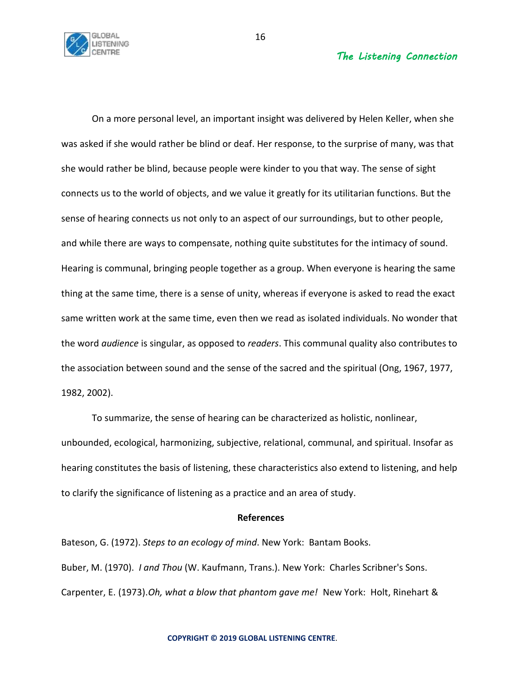

On a more personal level, an important insight was delivered by Helen Keller, when she was asked if she would rather be blind or deaf. Her response, to the surprise of many, was that she would rather be blind, because people were kinder to you that way. The sense of sight connects us to the world of objects, and we value it greatly for its utilitarian functions. But the sense of hearing connects us not only to an aspect of our surroundings, but to other people, and while there are ways to compensate, nothing quite substitutes for the intimacy of sound. Hearing is communal, bringing people together as a group. When everyone is hearing the same thing at the same time, there is a sense of unity, whereas if everyone is asked to read the exact same written work at the same time, even then we read as isolated individuals. No wonder that the word *audience* is singular, as opposed to *readers*. This communal quality also contributes to the association between sound and the sense of the sacred and the spiritual (Ong, 1967, 1977, 1982, 2002).

To summarize, the sense of hearing can be characterized as holistic, nonlinear, unbounded, ecological, harmonizing, subjective, relational, communal, and spiritual. Insofar as hearing constitutes the basis of listening, these characteristics also extend to listening, and help to clarify the significance of listening as a practice and an area of study.

#### **References**

Bateson, G. (1972). *Steps to an ecology of mind*. New York: Bantam Books. Buber, M. (1970). *I and Thou* (W. Kaufmann, Trans.). New York: Charles Scribner's Sons. Carpenter, E. (1973).*Oh, what a blow that phantom gave me!* New York: Holt, Rinehart &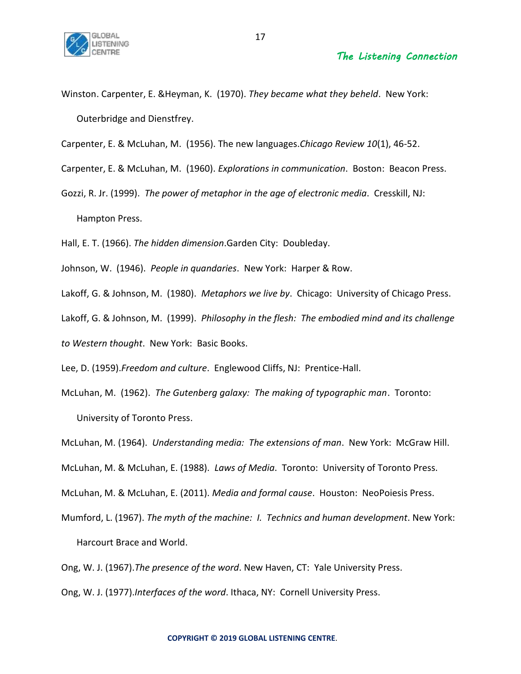

Winston. Carpenter, E. &Heyman, K. (1970). *They became what they beheld*. New York: Outerbridge and Dienstfrey.

Carpenter, E. & McLuhan, M. (1956). The new languages.*Chicago Review 10*(1), 46-52.

Carpenter, E. & McLuhan, M. (1960). *Explorations in communication*. Boston: Beacon Press.

Gozzi, R. Jr. (1999). *The power of metaphor in the age of electronic media*. Cresskill, NJ: Hampton Press.

Hall, E. T. (1966). *The hidden dimension*.Garden City: Doubleday.

Johnson, W. (1946). *People in quandaries*. New York: Harper & Row.

Lakoff, G. & Johnson, M. (1980). *Metaphors we live by*. Chicago: University of Chicago Press.

Lakoff, G. & Johnson, M. (1999). *Philosophy in the flesh: The embodied mind and its challenge to Western thought*. New York: Basic Books.

Lee, D. (1959).*Freedom and culture*. Englewood Cliffs, NJ: Prentice-Hall.

McLuhan, M. (1962). *The Gutenberg galaxy: The making of typographic man*. Toronto: University of Toronto Press.

McLuhan, M. (1964). *Understanding media: The extensions of man*. New York: McGraw Hill.

McLuhan, M. & McLuhan, E. (1988). *Laws of Media*. Toronto: University of Toronto Press.

McLuhan, M. & McLuhan, E. (2011). *Media and formal cause*. Houston: NeoPoiesis Press.

Mumford, L. (1967). *The myth of the machine: I. Technics and human development*. New York: Harcourt Brace and World.

Ong, W. J. (1967).*The presence of the word*. New Haven, CT: Yale University Press.

Ong, W. J. (1977).*Interfaces of the word*. Ithaca, NY: Cornell University Press.